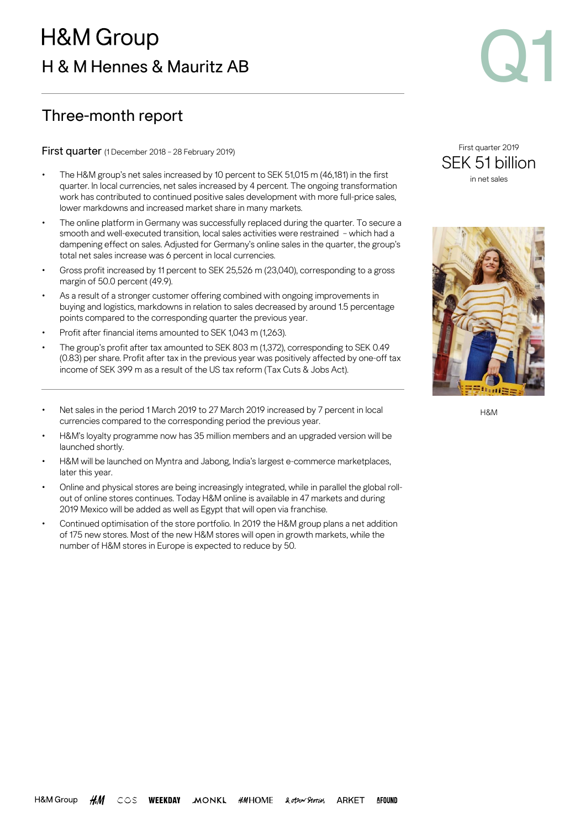# **H&M Group** H & M Hennes & Mauritz AB

# Three-month report

First quarter (1 December 2018 – 28 February 2019)

- The H&M group's net sales increased by 10 percent to SEK 51,015 m (46,181) in the first quarter. In local currencies, net sales increased by 4 percent. The ongoing transformation work has contributed to continued positive sales development with more full-price sales, lower markdowns and increased market share in many markets.
- The online platform in Germany was successfully replaced during the quarter. To secure a smooth and well-executed transition, local sales activities were restrained – which had a dampening effect on sales. Adjusted for Germany's online sales in the quarter, the group's total net sales increase was 6 percent in local currencies.
- Gross profit increased by 11 percent to SEK 25,526 m (23,040), corresponding to a gross margin of 50.0 percent (49.9).
- As a result of a stronger customer offering combined with ongoing improvements in buying and logistics, markdowns in relation to sales decreased by around 1.5 percentage points compared to the corresponding quarter the previous year.
- Profit after financial items amounted to SEK 1,043 m (1,263).
- The group's profit after tax amounted to SEK 803 m (1,372), corresponding to SEK 0.49 (0.83) per share. Profit after tax in the previous year was positively affected by one-off tax income of SEK 399 m as a result of the US tax reform (Tax Cuts & Jobs Act).
- Net sales in the period 1 March 2019 to 27 March 2019 increased by 7 percent in local currencies compared to the corresponding period the previous year.
- H&M's loyalty programme now has 35 million members and an upgraded version will be launched shortly.
- H&M will be launched on Myntra and Jabong, India's largest e-commerce marketplaces, later this year.
- Online and physical stores are being increasingly integrated, while in parallel the global rollout of online stores continues. Today H&M online is available in 47 markets and during 2019 Mexico will be added as well as Egypt that will open via franchise.
- Continued optimisation of the store portfolio. In 2019 the H&M group plans a net addition of 175 new stores. Most of the new H&M stores will open in growth markets, while the number of H&M stores in Europe is expected to reduce by 50.



Q1



H&M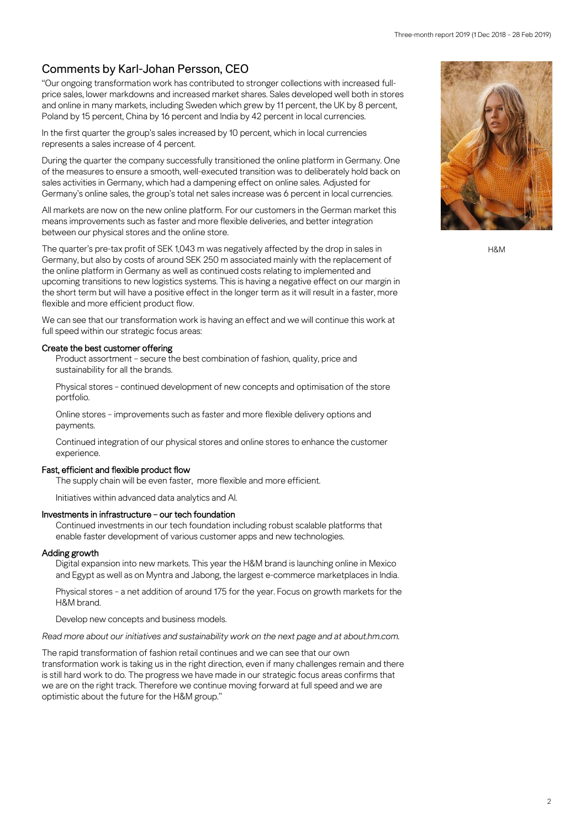## Comments by Karl-Johan Persson, CEO

"Our ongoing transformation work has contributed to stronger collections with increased fullprice sales, lower markdowns and increased market shares. Sales developed well both in stores and online in many markets, including Sweden which grew by 11 percent, the UK by 8 percent, Poland by 15 percent, China by 16 percent and India by 42 percent in local currencies.

In the first quarter the group's sales increased by 10 percent, which in local currencies represents a sales increase of 4 percent.

During the quarter the company successfully transitioned the online platform in Germany. One of the measures to ensure a smooth, well-executed transition was to deliberately hold back on sales activities in Germany, which had a dampening effect on online sales. Adjusted for Germany's online sales, the group's total net sales increase was 6 percent in local currencies.

All markets are now on the new online platform. For our customers in the German market this means improvements such as faster and more flexible deliveries, and better integration between our physical stores and the online store.

The quarter's pre-tax profit of SEK 1,043 m was negatively affected by the drop in sales in Germany, but also by costs of around SEK 250 m associated mainly with the replacement of the online platform in Germany as well as continued costs relating to implemented and upcoming transitions to new logistics systems. This is having a negative effect on our margin in the short term but will have a positive effect in the longer term as it will result in a faster, more flexible and more efficient product flow.

We can see that our transformation work is having an effect and we will continue this work at full speed within our strategic focus areas:

#### Create the best customer offering

Product assortment – secure the best combination of fashion, quality, price and sustainability for all the brands.

Physical stores – continued development of new concepts and optimisation of the store portfolio.

Online stores – improvements such as faster and more flexible delivery options and payments.

Continued integration of our physical stores and online stores to enhance the customer experience.

#### Fast, efficient and flexible product flow

The supply chain will be even faster, more flexible and more efficient.

Initiatives within advanced data analytics and AI.

#### Investments in infrastructure – our tech foundation

Continued investments in our tech foundation including robust scalable platforms that enable faster development of various customer apps and new technologies.

#### Adding growth

Digital expansion into new markets. This year the H&M brand is launching online in Mexico and Egypt as well as on Myntra and Jabong, the largest e-commerce marketplaces in India.

Physical stores – a net addition of around 175 for the year. Focus on growth markets for the H&M brand.

Develop new concepts and business models.

#### *Read more about our initiatives and sustainability work on the next page and at about.hm.com.*

The rapid transformation of fashion retail continues and we can see that our own transformation work is taking us in the right direction, even if many challenges remain and there is still hard work to do. The progress we have made in our strategic focus areas confirms that we are on the right track. Therefore we continue moving forward at full speed and we are optimistic about the future for the H&M group."



 $H$ *R*.M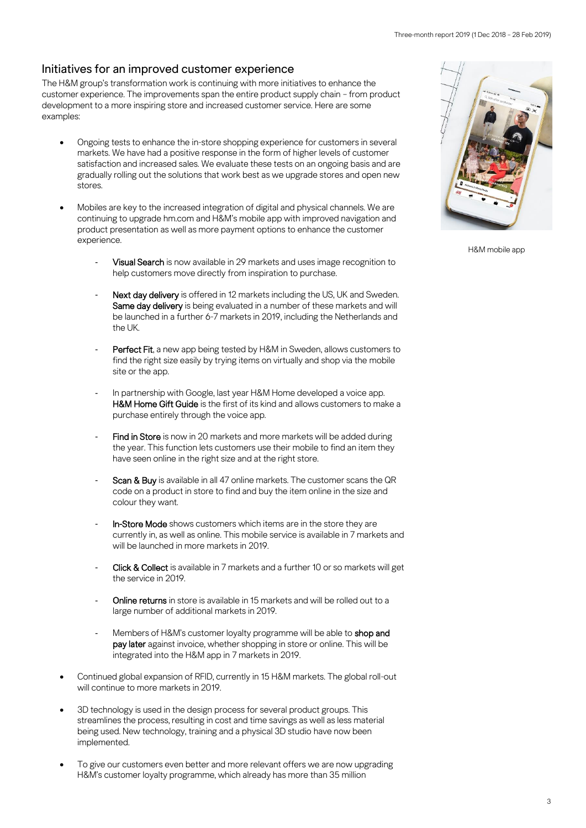#### Initiatives for an improved customer experience

The H&M group's transformation work is continuing with more initiatives to enhance the customer experience. The improvements span the entire product supply chain – from product development to a more inspiring store and increased customer service. Here are some examples:

- Ongoing tests to enhance the in-store shopping experience for customers in several markets. We have had a positive response in the form of higher levels of customer satisfaction and increased sales. We evaluate these tests on an ongoing basis and are gradually rolling out the solutions that work best as we upgrade stores and open new stores.
- Mobiles are key to the increased integration of digital and physical channels. We are continuing to upgrade hm.com and H&M's mobile app with improved navigation and product presentation as well as more payment options to enhance the customer experience.
	- Visual Search is now available in 29 markets and uses image recognition to help customers move directly from inspiration to purchase.
	- Next day delivery is offered in 12 markets including the US, UK and Sweden. Same day delivery is being evaluated in a number of these markets and will be launched in a further 6-7 markets in 2019, including the Netherlands and the UK.
	- Perfect Fit, a new app being tested by H&M in Sweden, allows customers to find the right size easily by trying items on virtually and shop via the mobile site or the app.
	- In partnership with Google, last year H&M Home developed a voice app. H&M Home Gift Guide is the first of its kind and allows customers to make a purchase entirely through the voice app.
	- Find in Store is now in 20 markets and more markets will be added during the year. This function lets customers use their mobile to find an item they have seen online in the right size and at the right store.
	- Scan & Buy is available in all 47 online markets. The customer scans the QR code on a product in store to find and buy the item online in the size and colour they want.
	- In-Store Mode shows customers which items are in the store they are currently in, as well as online. This mobile service is available in 7 markets and will be launched in more markets in 2019.
	- Click & Collect is available in 7 markets and a further 10 or so markets will get the service in 2019.
	- Online returns in store is available in 15 markets and will be rolled out to a large number of additional markets in 2019.
	- Members of H&M's customer loyalty programme will be able to shop and pay later against invoice, whether shopping in store or online. This will be integrated into the H&M app in 7 markets in 2019.
- Continued global expansion of RFID, currently in 15 H&M markets. The global roll-out will continue to more markets in 2019.
- 3D technology is used in the design process for several product groups. This streamlines the process, resulting in cost and time savings as well as less material being used. New technology, training and a physical 3D studio have now been implemented.
- To give our customers even better and more relevant offers we are now upgrading H&M's customer loyalty programme, which already has more than 35 million



H&M mobile app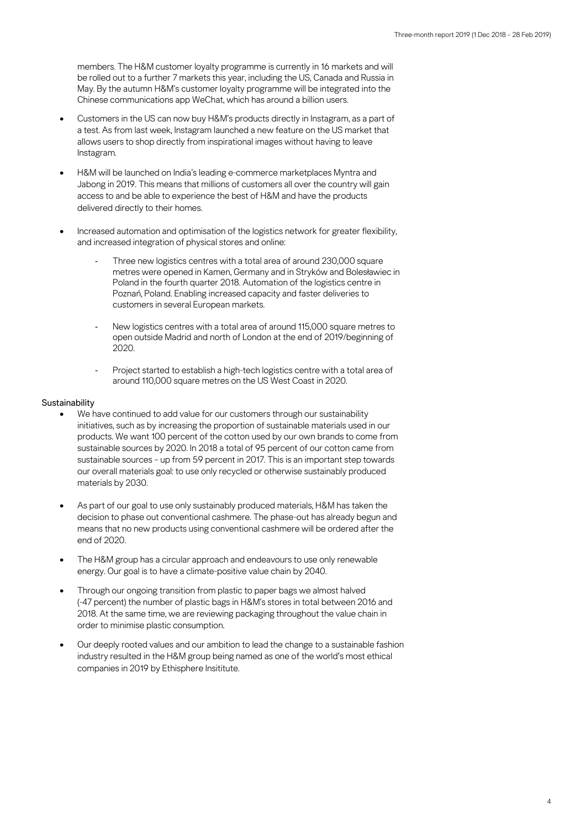members. The H&M customer loyalty programme is currently in 16 markets and will be rolled out to a further 7 markets this year, including the US, Canada and Russia in May. By the autumn H&M's customer loyalty programme will be integrated into the Chinese communications app WeChat, which has around a billion users.

- Customers in the US can now buy H&M's products directly in Instagram, as a part of a test. As from last week, Instagram launched a new feature on the US market that allows users to shop directly from inspirational images without having to leave Instagram.
- H&M will be launched on India's leading e-commerce marketplaces Myntra and Jabong in 2019. This means that millions of customers all over the country will gain access to and be able to experience the best of H&M and have the products delivered directly to their homes.
- Increased automation and optimisation of the logistics network for greater flexibility, and increased integration of physical stores and online:
	- Three new logistics centres with a total area of around 230,000 square metres were opened in Kamen, Germany and in Stryków and Bolesławiec in Poland in the fourth quarter 2018. Automation of the logistics centre in Poznań, Poland. Enabling increased capacity and faster deliveries to customers in several European markets.
	- New logistics centres with a total area of around 115,000 square metres to open outside Madrid and north of London at the end of 2019/beginning of 2020.
	- Project started to establish a high-tech logistics centre with a total area of around 110,000 square metres on the US West Coast in 2020.

#### **Sustainability**

- We have continued to add value for our customers through our sustainability initiatives, such as by increasing the proportion of sustainable materials used in our products. We want 100 percent of the cotton used by our own brands to come from sustainable sources by 2020. In 2018 a total of 95 percent of our cotton came from sustainable sources – up from 59 percent in 2017. This is an important step towards our overall materials goal: to use only recycled or otherwise sustainably produced materials by 2030.
- As part of our goal to use only sustainably produced materials, H&M has taken the decision to phase out conventional cashmere. The phase-out has already begun and means that no new products using conventional cashmere will be ordered after the end of 2020.
- The H&M group has a circular approach and endeavours to use only renewable energy. Our goal is to have a climate-positive value chain by 2040.
- Through our ongoing transition from plastic to paper bags we almost halved (-47 percent) the number of plastic bags in H&M's stores in total between 2016 and 2018. At the same time, we are reviewing packaging throughout the value chain in order to minimise plastic consumption.
- Our deeply rooted values and our ambition to lead the change to a sustainable fashion industry resulted in the H&M group being named as one of the world's most ethical companies in 2019 by Ethisphere Insititute.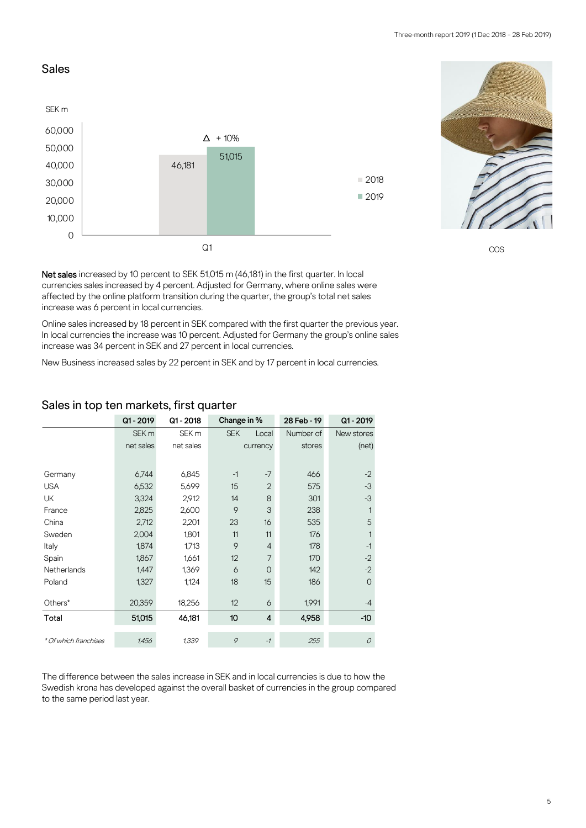#### Sales





COS

Net sales increased by 10 percent to SEK 51,015 m (46,181) in the first quarter. In local currencies sales increased by 4 percent. Adjusted for Germany, where online sales were affected by the online platform transition during the quarter, the group's total net sales increase was 6 percent in local currencies.

Online sales increased by 18 percent in SEK compared with the first quarter the previous year. In local currencies the increase was 10 percent. Adjusted for Germany the group's online sales increase was 34 percent in SEK and 27 percent in local currencies.

New Business increased sales by 22 percent in SEK and by 17 percent in local currencies.

|                       | Q1-2019          | $Q1 - 2018$      | Change in % |                | 28 Feb - 19 | Q1-2019        |
|-----------------------|------------------|------------------|-------------|----------------|-------------|----------------|
|                       | SEK <sub>m</sub> | SEK <sub>m</sub> | <b>SEK</b>  | Local          | Number of   | New stores     |
|                       | net sales        | net sales        |             | currency       | stores      | (net)          |
|                       |                  |                  |             |                |             |                |
| Germany               | 6,744            | 6,845            | $-1$        | $-7$           | 466         | $-2$           |
| <b>USA</b>            | 6,532            | 5,699            | 15          | $\overline{2}$ | 575         | $-3$           |
| <b>UK</b>             | 3,324            | 2,912            | 14          | 8              | 301         | $-3$           |
| France                | 2,825            | 2,600            | 9           | 3              | 238         |                |
| China                 | 2,712            | 2,201            | 23          | 16             | 535         | 5              |
| Sweden                | 2,004            | 1,801            | 11          | 11             | 176         |                |
| Italy                 | 1,874            | 1,713            | 9           | 4              | 178         | $-1$           |
| Spain                 | 1,867            | 1,661            | 12          | $\overline{7}$ | 170         | $-2$           |
| <b>Netherlands</b>    | 1,447            | 1,369            | 6           | $\mathcal{O}$  | 142         | $-2$           |
| Poland                | 1,327            | 1,124            | 18          | 15             | 186         | $\overline{0}$ |
|                       |                  |                  |             |                |             |                |
| Others*               | 20,359           | 18,256           | 12          | 6              | 1,991       | $-4$           |
| Total                 | 51,015           | 46,181           | 10          | 4              | 4,958       | $-10$          |
|                       |                  |                  |             |                |             |                |
| * Of which franchises | 1,456            | 1,339            | 9           | $-7$           | 255         | 0              |

#### Sales in top ten markets, first quarter

The difference between the sales increase in SEK and in local currencies is due to how the Swedish krona has developed against the overall basket of currencies in the group compared to the same period last year.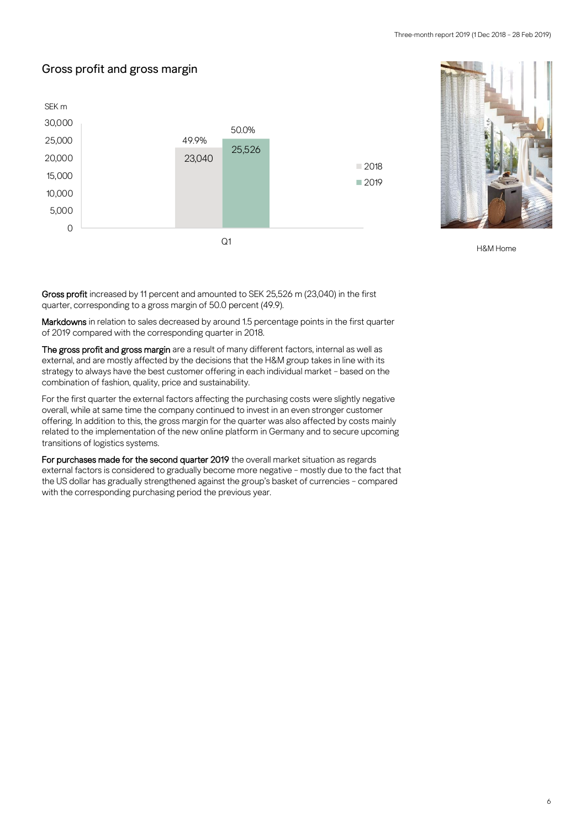## Gross profit and gross margin





H&M Home

Gross profit increased by 11 percent and amounted to SEK 25,526 m (23,040) in the first quarter, corresponding to a gross margin of 50.0 percent (49.9).

Markdowns in relation to sales decreased by around 1.5 percentage points in the first quarter of 2019 compared with the corresponding quarter in 2018.

The gross profit and gross margin are a result of many different factors, internal as well as external, and are mostly affected by the decisions that the H&M group takes in line with its strategy to always have the best customer offering in each individual market – based on the combination of fashion, quality, price and sustainability.

For the first quarter the external factors affecting the purchasing costs were slightly negative overall, while at same time the company continued to invest in an even stronger customer offering. In addition to this, the gross margin for the quarter was also affected by costs mainly related to the implementation of the new online platform in Germany and to secure upcoming transitions of logistics systems.

For purchases made for the second quarter 2019 the overall market situation as regards external factors is considered to gradually become more negative – mostly due to the fact that the US dollar has gradually strengthened against the group's basket of currencies – compared with the corresponding purchasing period the previous year.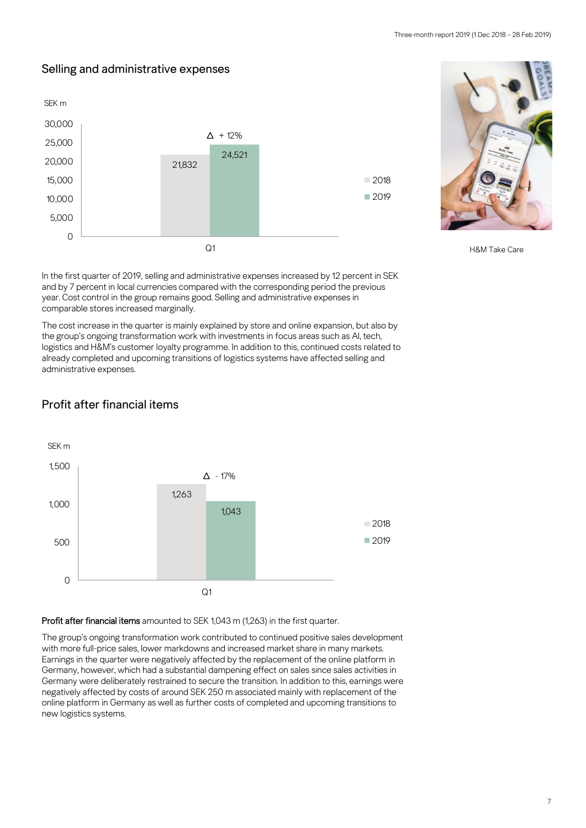#### Selling and administrative expenses





H&M Take Care

In the first quarter of 2019, selling and administrative expenses increased by 12 percent in SEK and by 7 percent in local currencies compared with the corresponding period the previous year. Cost control in the group remains good. Selling and administrative expenses in comparable stores increased marginally.

The cost increase in the quarter is mainly explained by store and online expansion, but also by the group's ongoing transformation work with investments in focus areas such as AI, tech, logistics and H&M's customer loyalty programme. In addition to this, continued costs related to already completed and upcoming transitions of logistics systems have affected selling and administrative expenses.



## Profit after financial items

Profit after financial items amounted to SEK 1,043 m (1,263) in the first quarter.

The group's ongoing transformation work contributed to continued positive sales development with more full-price sales, lower markdowns and increased market share in many markets. Earnings in the quarter were negatively affected by the replacement of the online platform in Germany, however, which had a substantial dampening effect on sales since sales activities in Germany were deliberately restrained to secure the transition. In addition to this, earnings were negatively affected by costs of around SEK 250 m associated mainly with replacement of the online platform in Germany as well as further costs of completed and upcoming transitions to new logistics systems.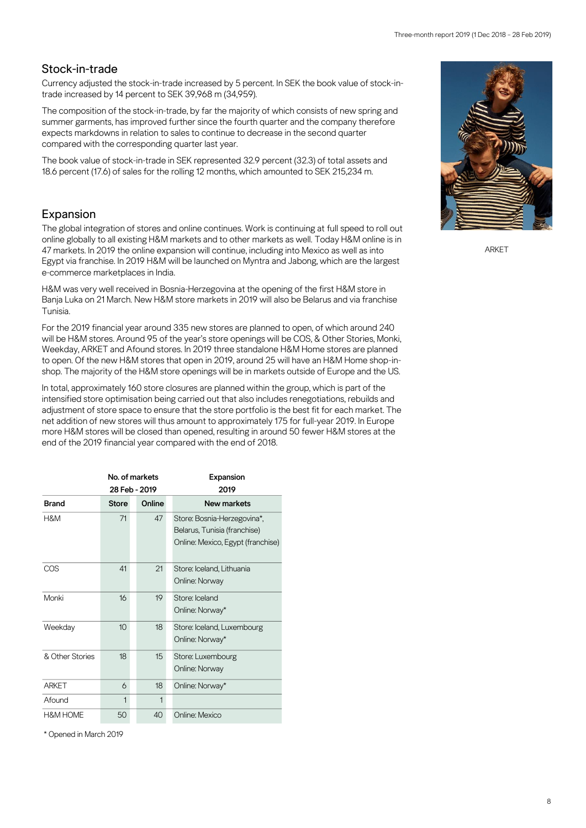#### Stock-in-trade

Currency adjusted the stock-in-trade increased by 5 percent. In SEK the book value of stock-intrade increased by 14 percent to SEK 39,968 m (34,959).

The composition of the stock-in-trade, by far the majority of which consists of new spring and summer garments, has improved further since the fourth quarter and the company therefore expects markdowns in relation to sales to continue to decrease in the second quarter compared with the corresponding quarter last year.

The book value of stock-in-trade in SEK represented 32.9 percent (32.3) of total assets and 18.6 percent (17.6) of sales for the rolling 12 months, which amounted to SEK 215,234 m.

#### Expansion

The global integration of stores and online continues. Work is continuing at full speed to roll out online globally to all existing H&M markets and to other markets as well. Today H&M online is in 47 markets. In 2019 the online expansion will continue, including into Mexico as well as into Egypt via franchise. In 2019 H&M will be launched on Myntra and Jabong, which are the largest e-commerce marketplaces in India.

H&M was very well received in Bosnia-Herzegovina at the opening of the first H&M store in Banja Luka on 21 March. New H&M store markets in 2019 will also be Belarus and via franchise Tunisia.

For the 2019 financial year around 335 new stores are planned to open, of which around 240 will be H&M stores. Around 95 of the year's store openings will be COS, & Other Stories, Monki, Weekday, ARKET and Afound stores. In 2019 three standalone H&M Home stores are planned to open. Of the new H&M stores that open in 2019, around 25 will have an H&M Home shop-inshop. The majority of the H&M store openings will be in markets outside of Europe and the US.

In total, approximately 160 store closures are planned within the group, which is part of the intensified store optimisation being carried out that also includes renegotiations, rebuilds and adjustment of store space to ensure that the store portfolio is the best fit for each market. The net addition of new stores will thus amount to approximately 175 for full-year 2019. In Europe more H&M stores will be closed than opened, resulting in around 50 fewer H&M stores at the end of the 2019 financial year compared with the end of 2018.

|                     | No. of markets  |              | Expansion                                                                                        |  |
|---------------------|-----------------|--------------|--------------------------------------------------------------------------------------------------|--|
|                     | 28 Feb - 2019   |              | 2019                                                                                             |  |
| <b>Brand</b>        | Store           | Online       | New markets                                                                                      |  |
| H&M                 | 71              | 47           | Store: Bosnia-Herzegovina*,<br>Belarus, Tunisia (franchise)<br>Online: Mexico, Egypt (franchise) |  |
| COS                 | 41              | 21           | Store: Iceland, Lithuania<br>Online: Norway                                                      |  |
| Monki               | 16              | 19           | Store: Iceland<br>Online: Norway*                                                                |  |
| Weekday             | 10 <sup>1</sup> | 18           | Store: Iceland, Luxembourg<br>Online: Norway*                                                    |  |
| & Other Stories     | 18              | 15           | Store: Luxembourg<br>Online: Norway                                                              |  |
| <b>ARKFT</b>        | 6               | 18           | Online: Norway*                                                                                  |  |
| Afound              | $\mathbf{1}$    | $\mathbf{1}$ |                                                                                                  |  |
| <b>H&amp;M HOME</b> | 50              | 40           | Online: Mexico                                                                                   |  |

\* Opened in March 2019



ARKET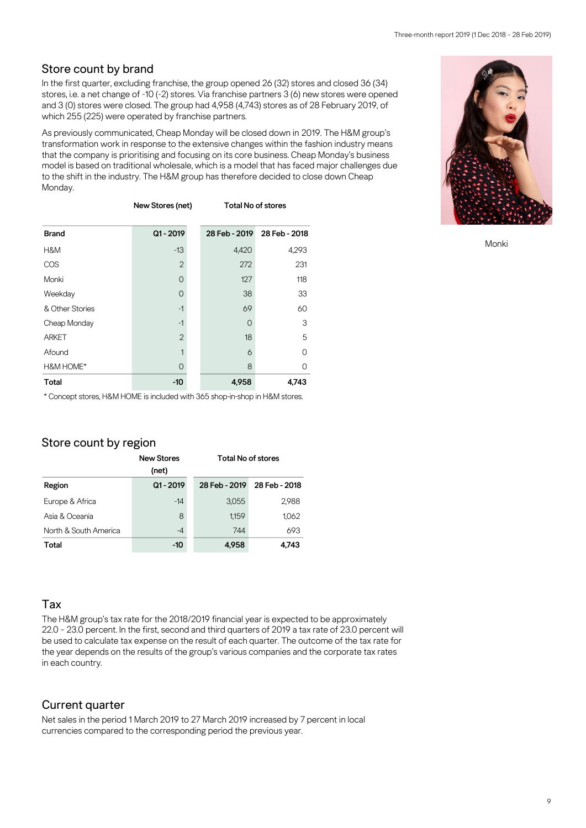#### Store count by brand

In the first quarter, excluding franchise, the group opened 26 (32) stores and closed 36 (34) stores, i.e. a net change of -10 (-2) stores. Via franchise partners 3 (6) new stores were opened and 3 (0) stores were closed. The group had 4,958 (4,743) stores as of 28 February 2019, of which 255 (225) were operated by franchise partners.

As previously communicated, Cheap Monday will be closed down in 2019. The H&M group's transformation work in response to the extensive changes within the fashion industry means that the company is prioritising and focusing on its core business. Cheap Monday's business model is based on traditional wholesale, which is a model that has faced major challenges due to the shift in the industry. The H&M group has therefore decided to close down Cheap Monday.

|                 | New Stores (net) | <b>Total No of stores</b> |               |
|-----------------|------------------|---------------------------|---------------|
| <b>Brand</b>    | Q1-2019          | 28 Feb - 2019             | 28 Feb - 2018 |
| H&M             | $-13$            | 4,420                     | 4,293         |
| <b>COS</b>      | $\overline{2}$   | 272                       | 231           |
| Monki           | 0                | 127                       | 118           |
| Weekday         | 0                | 38                        | 33            |
| & Other Stories | $-1$             | 69                        | 60            |
| Cheap Monday    | $-1$             | 0                         | 3             |
| <b>ARKET</b>    | $\overline{2}$   | 18                        | 5             |
| Afound          | 1                | 6                         | 0             |
| H&M HOME*       | 0                | 8                         | 0             |
| Total           | -10              | 4,958                     | 4,743         |

\* Concept stores, H&M HOME is included with 365 shop-in-shop in H&M stores.

#### Store count by region

|                       | <b>New Stores</b><br>(net) | <b>Total No of stores</b> |               |
|-----------------------|----------------------------|---------------------------|---------------|
| Region                | $Q1 - 2019$                | 28 Feb - 2019             | 28 Feb - 2018 |
| Europe & Africa       | $-14$                      | 3,055                     | 2,988         |
| Asia & Oceania        | 8                          | 1.159                     | 1,062         |
| North & South America | $-4$                       | 744                       | 693           |
| Total                 | $-10$                      | 4.958                     | 4.743         |

#### Tax

The H&M group's tax rate for the 2018/2019 financial year is expected to be approximately 22.0 – 23.0 percent. In the first, second and third quarters of 2019 a tax rate of 23.0 percent will be used to calculate tax expense on the result of each quarter. The outcome of the tax rate for the year depends on the results of the group's various companies and the corporate tax rates in each country.

#### Current quarter

Net sales in the period 1 March 2019 to 27 March 2019 increased by 7 percent in local currencies compared to the corresponding period the previous year.



Monki

9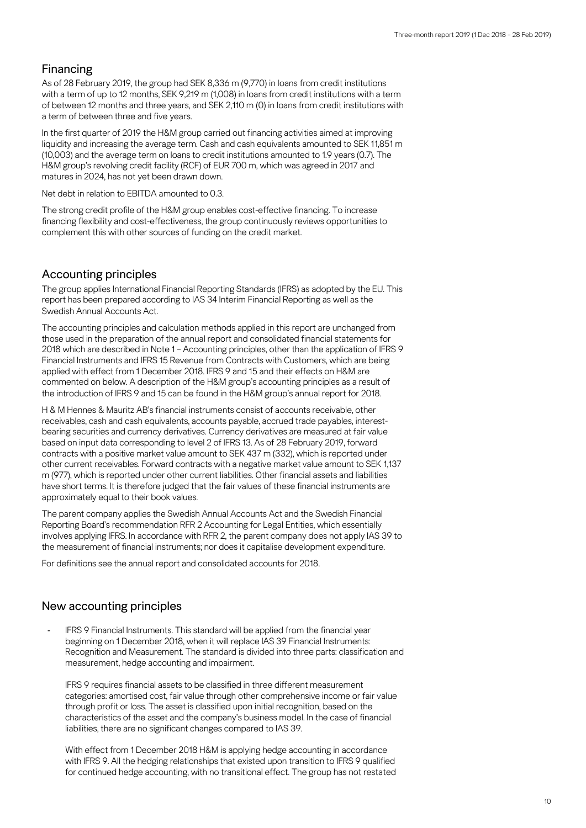#### Financing

As of 28 February 2019, the group had SEK 8,336 m (9,770) in loans from credit institutions with a term of up to 12 months, SEK 9,219 m (1,008) in loans from credit institutions with a term of between 12 months and three years, and SEK 2,110 m (0) in loans from credit institutions with a term of between three and five years.

In the first quarter of 2019 the H&M group carried out financing activities aimed at improving liquidity and increasing the average term. Cash and cash equivalents amounted to SEK 11,851 m (10,003) and the average term on loans to credit institutions amounted to 1.9 years (0.7). The H&M group's revolving credit facility (RCF) of EUR 700 m, which was agreed in 2017 and matures in 2024, has not yet been drawn down.

Net debt in relation to EBITDA amounted to 0.3.

The strong credit profile of the H&M group enables cost-effective financing. To increase financing flexibility and cost-effectiveness, the group continuously reviews opportunities to complement this with other sources of funding on the credit market.

#### Accounting principles

The group applies International Financial Reporting Standards (IFRS) as adopted by the EU. This report has been prepared according to IAS 34 Interim Financial Reporting as well as the Swedish Annual Accounts Act.

The accounting principles and calculation methods applied in this report are unchanged from those used in the preparation of the annual report and consolidated financial statements for 2018 which are described in Note 1 – Accounting principles, other than the application of IFRS 9 Financial Instruments and IFRS 15 Revenue from Contracts with Customers, which are being applied with effect from 1 December 2018. IFRS 9 and 15 and their effects on H&M are commented on below. A description of the H&M group's accounting principles as a result of the introduction of IFRS 9 and 15 can be found in the H&M group's annual report for 2018.

H & M Hennes & Mauritz AB's financial instruments consist of accounts receivable, other receivables, cash and cash equivalents, accounts payable, accrued trade payables, interestbearing securities and currency derivatives. Currency derivatives are measured at fair value based on input data corresponding to level 2 of IFRS 13. As of 28 February 2019, forward contracts with a positive market value amount to SEK 437 m (332), which is reported under other current receivables. Forward contracts with a negative market value amount to SEK 1,137 m (977), which is reported under other current liabilities. Other financial assets and liabilities have short terms. It is therefore judged that the fair values of these financial instruments are approximately equal to their book values.

The parent company applies the Swedish Annual Accounts Act and the Swedish Financial Reporting Board's recommendation RFR 2 Accounting for Legal Entities, which essentially involves applying IFRS. In accordance with RFR 2, the parent company does not apply IAS 39 to the measurement of financial instruments; nor does it capitalise development expenditure.

For definitions see the annual report and consolidated accounts for 2018.

## New accounting principles

- IFRS 9 Financial Instruments. This standard will be applied from the financial year beginning on 1 December 2018, when it will replace IAS 39 Financial Instruments: Recognition and Measurement. The standard is divided into three parts: classification and measurement, hedge accounting and impairment.

IFRS 9 requires financial assets to be classified in three different measurement categories: amortised cost, fair value through other comprehensive income or fair value through profit or loss. The asset is classified upon initial recognition, based on the characteristics of the asset and the company's business model. In the case of financial liabilities, there are no significant changes compared to IAS 39.

With effect from 1 December 2018 H&M is applying hedge accounting in accordance with IFRS 9. All the hedging relationships that existed upon transition to IFRS 9 qualified for continued hedge accounting, with no transitional effect. The group has not restated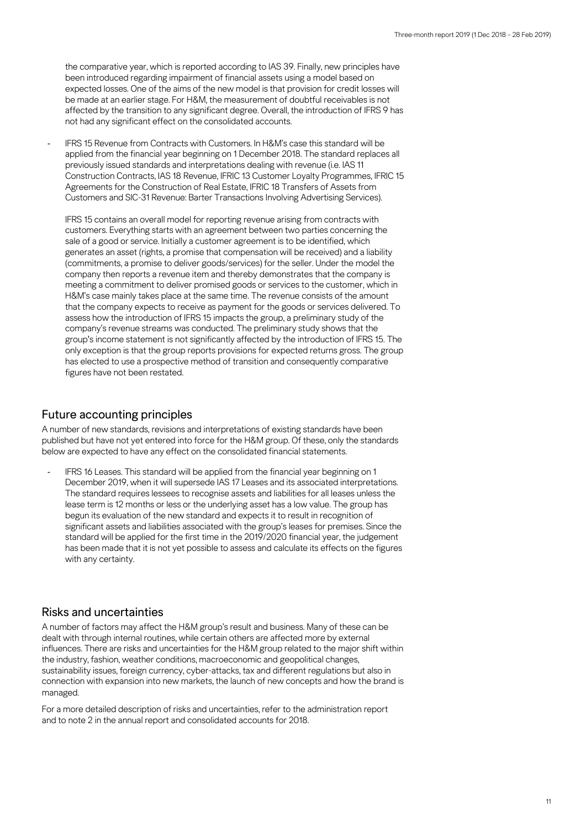the comparative year, which is reported according to IAS 39. Finally, new principles have been introduced regarding impairment of financial assets using a model based on expected losses. One of the aims of the new model is that provision for credit losses will be made at an earlier stage. For H&M, the measurement of doubtful receivables is not affected by the transition to any significant degree. Overall, the introduction of IFRS 9 has not had any significant effect on the consolidated accounts.

IFRS 15 Revenue from Contracts with Customers. In H&M's case this standard will be applied from the financial year beginning on 1 December 2018. The standard replaces all previously issued standards and interpretations dealing with revenue (i.e. IAS 11 Construction Contracts, IAS 18 Revenue, IFRIC 13 Customer Loyalty Programmes, IFRIC 15 Agreements for the Construction of Real Estate, IFRIC 18 Transfers of Assets from Customers and SIC-31 Revenue: Barter Transactions Involving Advertising Services).

IFRS 15 contains an overall model for reporting revenue arising from contracts with customers. Everything starts with an agreement between two parties concerning the sale of a good or service. Initially a customer agreement is to be identified, which generates an asset (rights, a promise that compensation will be received) and a liability (commitments, a promise to deliver goods/services) for the seller. Under the model the company then reports a revenue item and thereby demonstrates that the company is meeting a commitment to deliver promised goods or services to the customer, which in H&M's case mainly takes place at the same time. The revenue consists of the amount that the company expects to receive as payment for the goods or services delivered. To assess how the introduction of IFRS 15 impacts the group, a preliminary study of the company's revenue streams was conducted. The preliminary study shows that the group's income statement is not significantly affected by the introduction of IFRS 15. The only exception is that the group reports provisions for expected returns gross. The group has elected to use a prospective method of transition and consequently comparative figures have not been restated.

#### Future accounting principles

A number of new standards, revisions and interpretations of existing standards have been published but have not yet entered into force for the H&M group. Of these, only the standards below are expected to have any effect on the consolidated financial statements.

IFRS 16 Leases. This standard will be applied from the financial year beginning on 1 December 2019, when it will supersede IAS 17 Leases and its associated interpretations. The standard requires lessees to recognise assets and liabilities for all leases unless the lease term is 12 months or less or the underlying asset has a low value. The group has begun its evaluation of the new standard and expects it to result in recognition of significant assets and liabilities associated with the group's leases for premises. Since the standard will be applied for the first time in the 2019/2020 financial year, the judgement has been made that it is not yet possible to assess and calculate its effects on the figures with any certainty.

#### Risks and uncertainties

A number of factors may affect the H&M group's result and business. Many of these can be dealt with through internal routines, while certain others are affected more by external influences. There are risks and uncertainties for the H&M group related to the major shift within the industry, fashion, weather conditions, macroeconomic and geopolitical changes, sustainability issues, foreign currency, cyber-attacks, tax and different regulations but also in connection with expansion into new markets, the launch of new concepts and how the brand is managed.

For a more detailed description of risks and uncertainties, refer to the administration report and to note 2 in the annual report and consolidated accounts for 2018.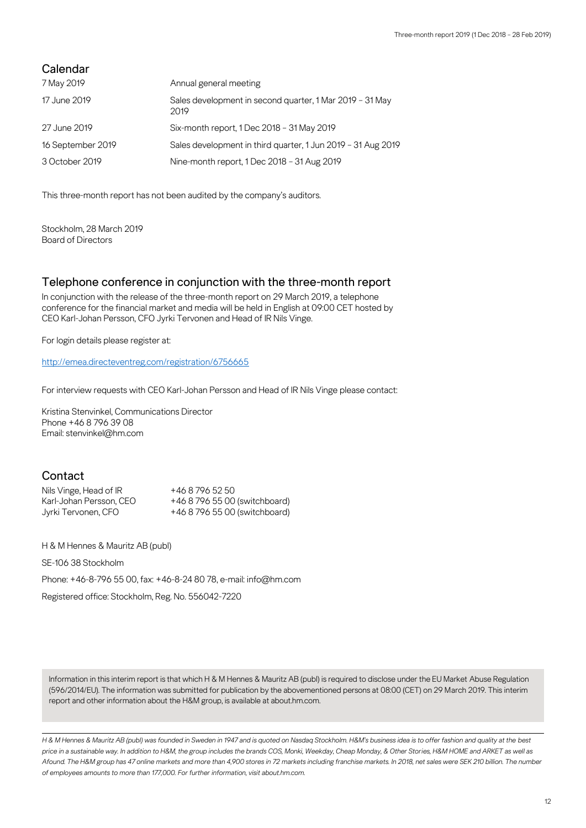## Calendar

| 7 May 2019        | Annual general meeting                                           |
|-------------------|------------------------------------------------------------------|
| 17 June 2019      | Sales development in second quarter, 1 Mar 2019 - 31 May<br>2019 |
| 27 June 2019      | Six-month report, 1 Dec 2018 - 31 May 2019                       |
| 16 September 2019 | Sales development in third quarter, 1 Jun 2019 - 31 Aug 2019     |
| 3 October 2019    | Nine-month report, 1 Dec 2018 - 31 Aug 2019                      |

This three-month report has not been audited by the company's auditors.

Stockholm, 28 March 2019 Board of Directors

#### Telephone conference in conjunction with the three-month report

In conjunction with the release of the three-month report on 29 March 2019, a telephone conference for the financial market and media will be held in English at 09:00 CET hosted by CEO Karl-Johan Persson, CFO Jyrki Tervonen and Head of IR Nils Vinge.

For login details please register at:

<http://emea.directeventreg.com/registration/6756665>

For interview requests with CEO Karl-Johan Persson and Head of IR Nils Vinge please contact:

Kristina Stenvinkel, Communications Director Phone +46 8 796 39 08 Email: stenvinkel@hm.com

#### **Contact**

| Nils Vinge, Head of IR  | +46 8 796 52 50               |
|-------------------------|-------------------------------|
| Karl-Johan Persson, CEO | +46 8 796 55 00 (switchboard) |
| Jyrki Tervonen, CFO     | +46 8 796 55 00 (switchboard) |

H & M Hennes & Mauritz AB (publ)

SE-106 38 Stockholm

Phone: +46-8-796 55 00, fax: +46-8-24 80 78, e-mail: [info@hm.com](mailto:info@hm.com)

Registered office: Stockholm, Reg. No. 556042-7220

Information in this interim report is that which H & M Hennes & Mauritz AB (publ) is required to disclose under the EU Market Abuse Regulation (596/2014/EU). The information was submitted for publication by the abovementioned persons at 08:00 (CET) on 29 March 2019. This interim report and other information about the H&M group, is available at about.hm.com.

*H & M Hennes & Mauritz AB (publ) was founded in Sweden in 1947 and is quoted on Nasdaq Stockholm. H&M's business idea is to offer fashion and quality at the best price in a sustainable way. In addition to H&M, the group includes the brands COS, Monki, Weekday, Cheap Monday, & Other Stories, H&M HOME and ARKET as well as Afound. The H&M group has 47 online markets and more than 4,900 stores in 72 markets including franchise markets. In 2018, net sales were SEK 210 billion. The number of employees amounts to more than 177,000. For further information, visit about.hm.com.*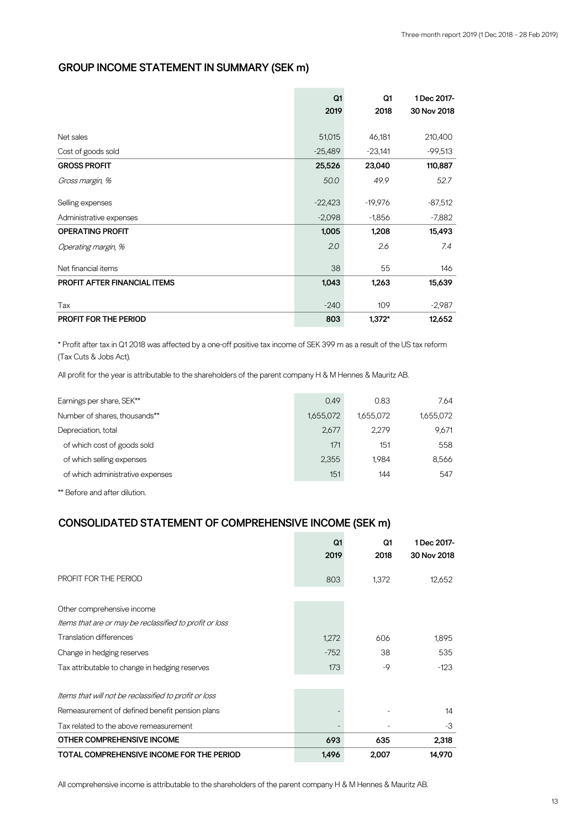#### **GROUP INCOME STATEMENT IN SUMMARY (SEK m)**

|                                     | Q1        | Q1        | 1 Dec 2017- |
|-------------------------------------|-----------|-----------|-------------|
|                                     | 2019      | 2018      | 30 Nov 2018 |
| Net sales                           | 51,015    | 46,181    | 210,400     |
| Cost of goods sold                  | $-25,489$ | $-23,141$ | $-99,513$   |
| <b>GROSS PROFIT</b>                 | 25,526    | 23,040    | 110,887     |
| Gross margin, %                     | 50.0      | 49.9      | 52.7        |
| Selling expenses                    | $-22,423$ | $-19,976$ | $-87,512$   |
| Administrative expenses             | $-2,098$  | $-1,856$  | $-7,882$    |
| <b>OPERATING PROFIT</b>             | 1,005     | 1,208     | 15,493      |
| Operating margin, %                 | 2.0       | 2.6       | 7.4         |
| Net financial items                 | 38        | 55        | 146         |
| <b>PROFIT AFTER FINANCIAL ITEMS</b> | 1,043     | 1,263     | 15,639      |
| Tax                                 | $-240$    | 109       | $-2,987$    |
| <b>PROFIT FOR THE PERIOD</b>        | 803       | $1,372*$  | 12,652      |

\* Profit after tax in Q1 2018 was affected by a one-off positive tax income of SEK 399 m as a result of the US tax reform (Tax Cuts & Jobs Act).

All profit for the year is attributable to the shareholders of the parent company H & M Hennes & Mauritz AB.

| Earnings per share, SEK**        | 0.49      | 0.83      | 7.64      |
|----------------------------------|-----------|-----------|-----------|
| Number of shares, thousands**    | 1,655,072 | 1.655.072 | 1,655,072 |
| Depreciation, total              | 2,677     | 2.279     | 9,671     |
| of which cost of goods sold      | 171       | 151       | 558       |
| of which selling expenses        | 2.355     | 1.984     | 8.566     |
| of which administrative expenses | 151       | 144       | 547       |
|                                  |           |           |           |

\*\* Before and after dilution.

#### **CONSOLIDATED STATEMENT OF COMPREHENSIVE INCOME (SEK m)**

|                                                         | Q1<br>2019 | Q1<br>2018 | 1 Dec 2017-<br>30 Nov 2018 |
|---------------------------------------------------------|------------|------------|----------------------------|
| PROFIT FOR THE PERIOD                                   | 803        | 1,372      | 12,652                     |
| Other comprehensive income                              |            |            |                            |
| Items that are or may be reclassified to profit or loss |            |            |                            |
| Translation differences                                 | 1,272      | 606        | 1,895                      |
| Change in hedging reserves                              | $-752$     | 38         | 535                        |
| Tax attributable to change in hedging reserves          | 173        | $-9$       | $-123$                     |
| Items that will not be reclassified to profit or loss   |            |            |                            |
| Remeasurement of defined benefit pension plans          |            |            | 14                         |
| Tax related to the above remeasurement                  |            |            | -3                         |
| <b>OTHER COMPREHENSIVE INCOME</b>                       | 693        | 635        | 2,318                      |
| TOTAL COMPREHENSIVE INCOME FOR THE PERIOD               | 1,496      | 2,007      | 14,970                     |

All comprehensive income is attributable to the shareholders of the parent company H & M Hennes & Mauritz AB.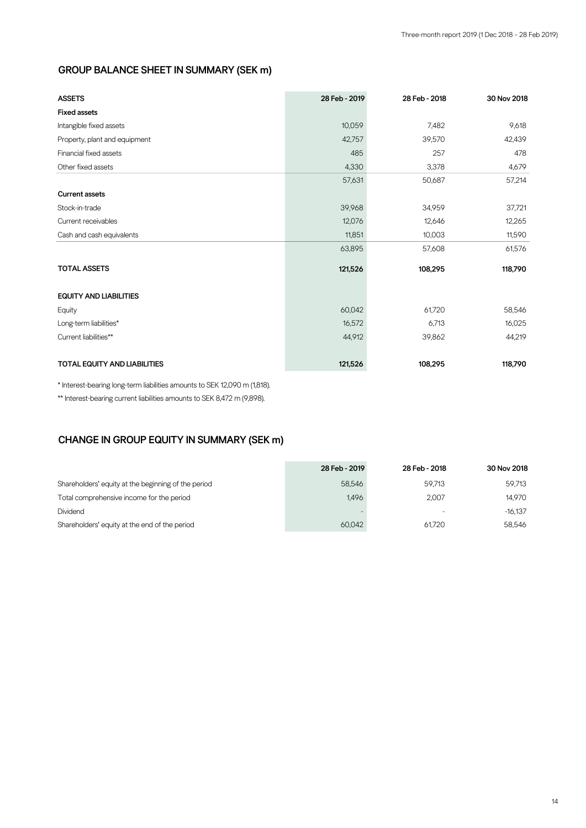#### **GROUP BALANCE SHEET IN SUMMARY (SEK m)**

| <b>ASSETS</b>                       | 28 Feb - 2019 | 28 Feb - 2018 | 30 Nov 2018 |
|-------------------------------------|---------------|---------------|-------------|
| <b>Fixed assets</b>                 |               |               |             |
| Intangible fixed assets             | 10,059        | 7,482         | 9,618       |
| Property, plant and equipment       | 42,757        | 39,570        | 42,439      |
| Financial fixed assets              | 485           | 257           | 478         |
| Other fixed assets                  | 4,330         | 3,378         | 4,679       |
|                                     | 57,631        | 50,687        | 57,214      |
| <b>Current assets</b>               |               |               |             |
| Stock-in-trade                      | 39,968        | 34,959        | 37,721      |
| Current receivables                 | 12,076        | 12,646        | 12,265      |
| Cash and cash equivalents           | 11,851        | 10,003        | 11,590      |
|                                     | 63,895        | 57,608        | 61,576      |
|                                     |               |               |             |
| <b>TOTAL ASSETS</b>                 | 121,526       | 108,295       | 118,790     |
|                                     |               |               |             |
| <b>EQUITY AND LIABILITIES</b>       |               |               |             |
| Equity                              | 60,042        | 61,720        | 58,546      |
| Long-term liabilities*              | 16,572        | 6,713         | 16,025      |
| Current liabilities**               | 44,912        | 39,862        | 44,219      |
|                                     |               |               |             |
| <b>TOTAL EQUITY AND LIABILITIES</b> | 121,526       | 108,295       | 118,790     |

\* Interest-bearing long-term liabilities amounts to SEK 12,090 m (1,818).

\*\* Interest-bearing current liabilities amounts to SEK 8,472 m (9,898).

## **CHANGE IN GROUP EQUITY IN SUMMARY (SEK m)**

|                                                     | 28 Feb - 2019 | 28 Feb - 2018 | 30 Nov 2018 |
|-----------------------------------------------------|---------------|---------------|-------------|
| Shareholders' equity at the beginning of the period | 58.546        | 59.713        | 59,713      |
| Total comprehensive income for the period           | 1.496         | 2.007         | 14.970      |
| Dividend                                            |               |               | $-16.137$   |
| Shareholders' equity at the end of the period       | 60.042        | 61.720        | 58.546      |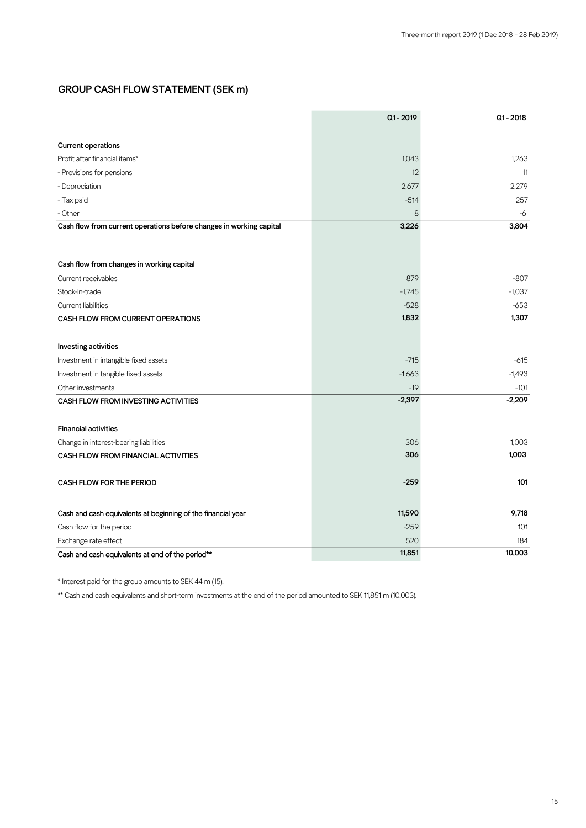## **GROUP CASH FLOW STATEMENT (SEK m)**

|                                                                                | Q1-2019    | $Q1 - 2018$ |
|--------------------------------------------------------------------------------|------------|-------------|
| <b>Current operations</b>                                                      |            |             |
| Profit after financial items*                                                  | 1,043      | 1,263       |
|                                                                                | 12         | 11          |
| - Provisions for pensions                                                      |            |             |
| - Depreciation                                                                 | 2,677      | 2,279       |
| - Tax paid                                                                     | $-514$     | 257         |
| - Other<br>Cash flow from current operations before changes in working capital | 8<br>3,226 | -6<br>3,804 |
|                                                                                |            |             |
| Cash flow from changes in working capital                                      |            |             |
| Current receivables                                                            | 879        | $-807$      |
| Stock-in-trade                                                                 | $-1,745$   | $-1,037$    |
| Current liabilities                                                            | $-528$     | $-653$      |
| <b>CASH FLOW FROM CURRENT OPERATIONS</b>                                       | 1,832      | 1,307       |
| Investing activities                                                           |            |             |
| Investment in intangible fixed assets                                          | $-715$     | $-615$      |
| Investment in tangible fixed assets                                            | $-1,663$   | $-1,493$    |
| Other investments                                                              | $-19$      | $-101$      |
| CASH FLOW FROM INVESTING ACTIVITIES                                            | $-2,397$   | $-2,209$    |
| <b>Financial activities</b>                                                    |            |             |
| Change in interest-bearing liabilities                                         | 306        | 1,003       |
| <b>CASH FLOW FROM FINANCIAL ACTIVITIES</b>                                     | 306        | 1,003       |
| CASH FLOW FOR THE PERIOD                                                       | $-259$     | 101         |
| Cash and cash equivalents at beginning of the financial year                   | 11,590     | 9,718       |
| Cash flow for the period                                                       | $-259$     | 101         |
| Exchange rate effect                                                           | 520        | 184         |
| Cash and cash equivalents at end of the period**                               | 11,851     | 10,003      |

\* Interest paid for the group amounts to SEK 44 m (15).

\*\* Cash and cash equivalents and short-term investments at the end of the period amounted to SEK 11,851 m (10,003).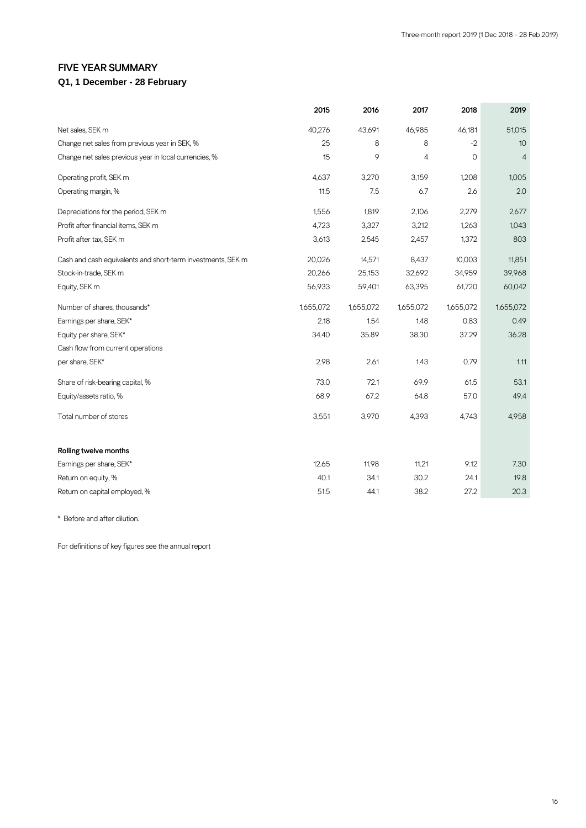#### **FIVE YEAR SUMMARY**

## **Q1, 1 December - 28 February**

|                                                             | 2015      | 2016      | 2017           | 2018      | 2019           |
|-------------------------------------------------------------|-----------|-----------|----------------|-----------|----------------|
| Net sales, SEK m                                            | 40,276    | 43,691    | 46,985         | 46,181    | 51,015         |
| Change net sales from previous year in SEK, %               | 25        | 8         | 8              | $-2$      | 10             |
| Change net sales previous year in local currencies, %       | 15        | 9         | $\overline{4}$ | 0         | $\overline{4}$ |
| Operating profit, SEK m                                     | 4,637     | 3,270     | 3,159          | 1,208     | 1,005          |
| Operating margin, %                                         | 11.5      | 7.5       | 6.7            | 2.6       | 2.0            |
| Depreciations for the period, SEK m                         | 1,556     | 1,819     | 2,106          | 2,279     | 2,677          |
| Profit after financial items, SEK m                         | 4,723     | 3,327     | 3,212          | 1,263     | 1,043          |
| Profit after tax, SEK m                                     | 3,613     | 2,545     | 2,457          | 1,372     | 803            |
| Cash and cash equivalents and short-term investments, SEK m | 20,026    | 14,571    | 8,437          | 10,003    | 11,851         |
| Stock-in-trade, SEK m                                       | 20,266    | 25,153    | 32,692         | 34,959    | 39,968         |
| Equity, SEK m                                               | 56,933    | 59,401    | 63,395         | 61,720    | 60,042         |
| Number of shares, thousands*                                | 1,655,072 | 1,655,072 | 1,655,072      | 1,655,072 | 1,655,072      |
| Earnings per share, SEK*                                    | 2.18      | 1.54      | 1.48           | 0.83      | 0.49           |
| Equity per share, SEK*                                      | 34.40     | 35.89     | 38.30          | 37.29     | 36.28          |
| Cash flow from current operations                           |           |           |                |           |                |
| per share, SEK*                                             | 2.98      | 2.61      | 1.43           | 0.79      | 1.11           |
| Share of risk-bearing capital, %                            | 73.0      | 72.1      | 69.9           | 61.5      | 53.1           |
| Equity/assets ratio, %                                      | 68.9      | 67.2      | 64.8           | 57.0      | 49.4           |
| Total number of stores                                      | 3,551     | 3,970     | 4,393          | 4,743     | 4,958          |
| Rolling twelve months                                       |           |           |                |           |                |
| Earnings per share, SEK*                                    | 12.65     | 11.98     | 11.21          | 9.12      | 7.30           |
| Return on equity, %                                         | 40.1      | 34.1      | 30.2           | 24.1      | 19.8           |
| Return on capital employed, %                               | 51.5      | 44.1      | 38.2           | 27.2      | 20.3           |

\* Before and after dilution.

For definitions of key figures see the annual report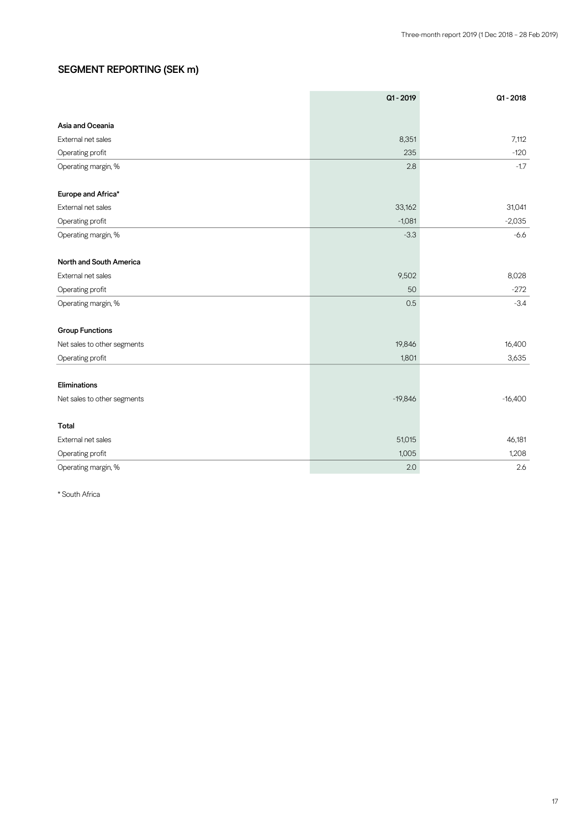#### **SEGMENT REPORTING (SEK m)**

|                             | Q1-2019   | $Q1 - 2018$ |
|-----------------------------|-----------|-------------|
|                             |           |             |
| Asia and Oceania            |           |             |
| External net sales          | 8,351     | 7,112       |
| Operating profit            | 235       | $-120$      |
| Operating margin, %         | 2.8       | $-1.7$      |
| Europe and Africa*          |           |             |
| External net sales          | 33,162    | 31,041      |
| Operating profit            | $-1,081$  | $-2,035$    |
| Operating margin, %         | $-3.3$    | $-6.6$      |
| North and South America     |           |             |
| External net sales          | 9,502     | 8,028       |
| Operating profit            | 50        | $-272$      |
| Operating margin, %         | 0.5       | $-3.4$      |
| <b>Group Functions</b>      |           |             |
| Net sales to other segments | 19,846    | 16,400      |
| Operating profit            | 1,801     | 3,635       |
| <b>Eliminations</b>         |           |             |
| Net sales to other segments | $-19,846$ | $-16,400$   |
| Total                       |           |             |
| External net sales          | 51,015    | 46,181      |
| Operating profit            | 1,005     | 1,208       |
| Operating margin, %         | 2.0       | 2.6         |

\* South Africa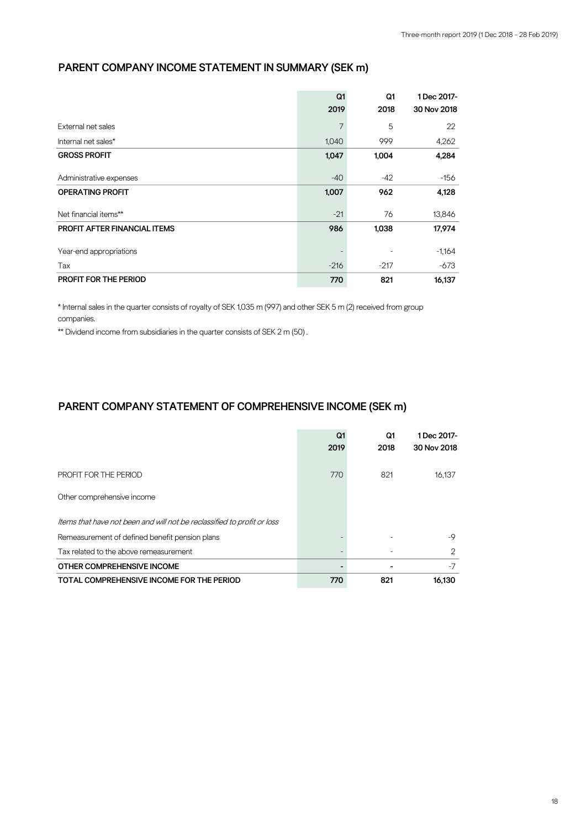## **PARENT COMPANY INCOME STATEMENT IN SUMMARY (SEK m)**

|                                     | Q <sub>1</sub> | Q1     | 1 Dec 2017- |
|-------------------------------------|----------------|--------|-------------|
|                                     | 2019           | 2018   | 30 Nov 2018 |
| External net sales                  | $\overline{7}$ | 5      | 22          |
| Internal net sales*                 | 1,040          | 999    | 4,262       |
| <b>GROSS PROFIT</b>                 | 1,047          | 1,004  | 4,284       |
| Administrative expenses             | $-40$          | -42    | $-156$      |
| <b>OPERATING PROFIT</b>             | 1,007          | 962    | 4,128       |
| Net financial items**               | $-21$          | 76     | 13,846      |
| <b>PROFIT AFTER FINANCIAL ITEMS</b> | 986            | 1,038  | 17,974      |
| Year-end appropriations             |                |        | $-1,164$    |
| Tax                                 | $-216$         | $-217$ | -673        |
| <b>PROFIT FOR THE PERIOD</b>        | 770            | 821    | 16,137      |

\* Internal sales in the quarter consists of royalty of SEK 1,035 m (997) and other SEK 5 m (2) received from group companies.

\*\* Dividend income from subsidiaries in the quarter consists of SEK 2 m (50).

## **PARENT COMPANY STATEMENT OF COMPREHENSIVE INCOME (SEK m)**

|                                                                         | Q1   | Q1   | 1 Dec 2017- |
|-------------------------------------------------------------------------|------|------|-------------|
|                                                                         | 2019 | 2018 | 30 Nov 2018 |
|                                                                         |      |      |             |
| PROFIT FOR THE PERIOD                                                   | 770  | 821  | 16,137      |
|                                                                         |      |      |             |
| Other comprehensive income                                              |      |      |             |
|                                                                         |      |      |             |
| Items that have not been and will not be reclassified to profit or loss |      |      |             |
| Remeasurement of defined benefit pension plans                          |      |      | $-9$        |
| Tax related to the above remeasurement                                  |      |      | 2           |
| OTHER COMPREHENSIVE INCOME                                              |      |      | $-7$        |
| TOTAL COMPREHENSIVE INCOME FOR THE PERIOD                               | 770  | 821  | 16.130      |